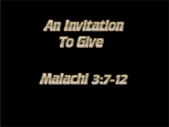

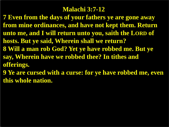#### **Malachi 3:7-12**

**7 Even from the days of your fathers ye are gone away from mine ordinances, and have not kept them. Return unto me, and I will return unto you, saith the LORD of hosts. But ye said, Wherein shall we return? 8 Will a man rob God? Yet ye have robbed me. But ye say, Wherein have we robbed thee? In tithes and offerings.**

**9 Ye are cursed with a curse: for ye have robbed me, even this whole nation.**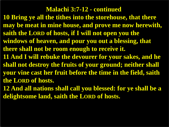**Malachi 3:7-12 - continued 10 Bring ye all the tithes into the storehouse, that there may be meat in mine house, and prove me now herewith, saith the LORD of hosts, if I will not open you the windows of heaven, and pour you out a blessing, that there shall not be room enough to receive it. 11 And I will rebuke the devourer for your sakes, and he shall not destroy the fruits of your ground; neither shall your vine cast her fruit before the time in the field, saith the LORD of hosts.**

**12 And all nations shall call you blessed: for ye shall be a delightsome land, saith the LORD of hosts.**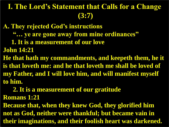## **I. The Lord's Statement that Calls for a Change (3:7)**

**A. They rejected God's instructions** 

- **"… ye are gone away from mine ordinances"**
- **1. It is a measurement of our love**

**John 14:21**

**He that hath my commandments, and keepeth them, he it is that loveth me: and he that loveth me shall be loved of my Father, and I will love him, and will manifest myself to him.** 

 **2. It is a measurement of our gratitude** 

**Romans 1:21**

**Because that, when they knew God, they glorified him not as God, neither were thankful; but became vain in their imaginations, and their foolish heart was darkened.**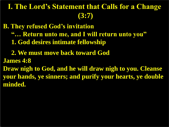# **I. The Lord's Statement that Calls for a Change (3:7)**

**B. They refused God's invitation**

- **"… Return unto me, and I will return unto you"**
- **1. God desires intimate fellowship**
- **2. We must move back toward God**
- **James 4:8**
- **Draw nigh to God, and he will draw nigh to you. Cleanse your hands, ye sinners; and purify your hearts, ye double minded.**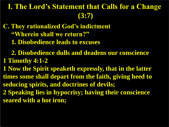## **I. The Lord's Statement that Calls for a Change (3:7)**

**C. They rationalized God's indictment "Wherein shall we return?" 1. Disobedience leads to excuses** 

 **2. Disobedience dulls and deadens our conscience 1 Timothy 4:1-2**

**1 Now the Spirit speaketh expressly, that in the latter times some shall depart from the faith, giving heed to seducing spirits, and doctrines of devils; 2 Speaking lies in hypocrisy; having their conscience seared with a hot iron;**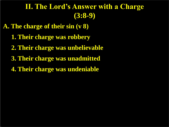#### **II. The Lord's Answer with a Charge (3:8-9)**

**A. The charge of their sin (v 8)**

- **1. Their charge was robbery**
- **2. Their charge was unbelievable**
- **3. Their charge was unadmitted**
- **4. Their charge was undeniable**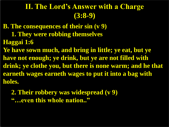#### **II. The Lord's Answer with a Charge (3:8-9)**

**B. The consequences of their sin (v 9) 1. They were robbing themselves Haggai 1:6 Ye have sown much, and bring in little; ye eat, but ye have not enough; ye drink, but ye are not filled with drink; ye clothe you, but there is none warm; and he that earneth wages earneth wages to put it into a bag with holes.**

 **2. Their robbery was widespread (v 9) "…even this whole nation.."**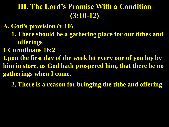**A. God's provision (v 10) 1. There should be a gathering place for our tithes and offerings 1 Corinthians 16:2 Upon the first day of the week let every one of you lay by him in store, as God hath prospered him, that there be no gatherings when I come.**

 **2. There is a reason for bringing the tithe and offering**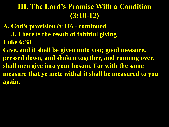**A. God's provision (v 10) - continued 3. There is the result of faithful giving Luke 6:38 Give, and it shall be given unto you; good measure, pressed down, and shaken together, and running over, shall men give into your bosom. For with the same measure that ye mete withal it shall be measured to you again.**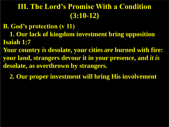**B. God's protection (v 11) 1. Our lack of kingdom investment bring opposition Isaiah 1:7 Your country** *is* **desolate, your cities** *are* **burned with fire: your land, strangers devour it in your presence, and** *it is* **desolate, as overthrown by strangers.** 

 **2. Our proper investment will bring His involvement**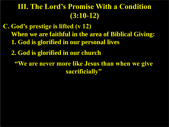**C. God's prestige is lifted (v 12) When we are faithful in the area of Biblical Giving: 1. God is glorified in our personal lives** 

 **2. God is glorified in our church**

**"We are never more like Jesus than when we give sacrificially"**